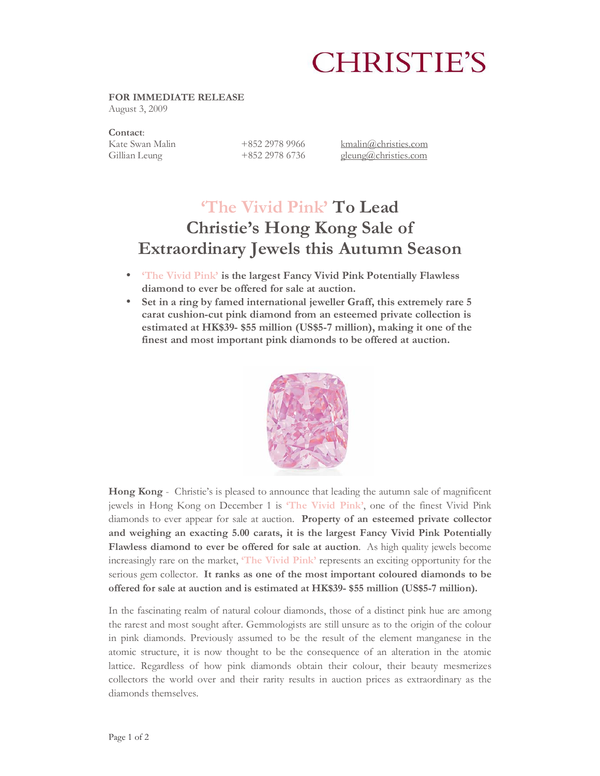# **CHRISTIE'S**

### **FOR IMMEDIATE RELEASE**

August 3, 2009

# **Contact**:

Kate Swan Malin +852 2978 9966 kmalin@christies.com Gillian Leung +852 2978 6736 gleung@christies.com

# **'The Vivid Pink' To Lead Christie's Hong Kong Sale of Extraordinary Jewels this Autumn Season**

- **'The Vivid Pink' is the largest Fancy Vivid Pink Potentially Flawless diamond to ever be offered for sale at auction.**
- **Set in a ring by famed international jeweller Graff, this extremely rare 5 carat cushion-cut pink diamond from an esteemed private collection is estimated at HK\$39- \$55 million (US\$5-7 million), making it one of the finest and most important pink diamonds to be offered at auction.**



**Hong Kong** - Christie's is pleased to announce that leading the autumn sale of magnificent jewels in Hong Kong on December 1 is **'The Vivid Pink'**, one of the finest Vivid Pink diamonds to ever appear for sale at auction. **Property of an esteemed private collector and weighing an exacting 5.00 carats, it is the largest Fancy Vivid Pink Potentially Flawless diamond to ever be offered for sale at auction**. As high quality jewels become increasingly rare on the market, **'The Vivid Pink'** represents an exciting opportunity for the serious gem collector. **It ranks as one of the most important coloured diamonds to be offered for sale at auction and is estimated at HK\$39- \$55 million (US\$5-7 million).**

In the fascinating realm of natural colour diamonds, those of a distinct pink hue are among the rarest and most sought after. Gemmologists are still unsure as to the origin of the colour in pink diamonds. Previously assumed to be the result of the element manganese in the atomic structure, it is now thought to be the consequence of an alteration in the atomic lattice. Regardless of how pink diamonds obtain their colour, their beauty mesmerizes collectors the world over and their rarity results in auction prices as extraordinary as the diamonds themselves.